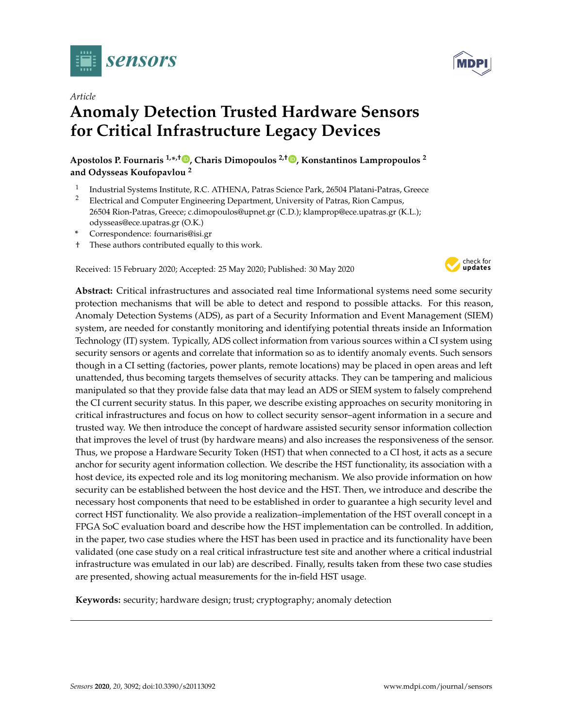

*Article*

# **Anomaly Detection Trusted Hardware Sensors for Critical Infrastructure Legacy Devices**

**Apostolos P. Fournaris 1,\* ,† [,](https://orcid.org/0000-0002-4758-2349) Charis Dimopoulos 2,† [,](https://orcid.org/0000-0002-8573-725X) Konstantinos Lampropoulos <sup>2</sup> and Odysseas Koufopavlou <sup>2</sup>**

- 1 Industrial Systems Institute, R.C. ATHENA, Patras Science Park, 26504 Platani-Patras, Greece
- <sup>2</sup> Electrical and Computer Engineering Department, University of Patras, Rion Campus, 26504 Rion-Patras, Greece; c.dimopoulos@upnet.gr (C.D.); klamprop@ece.upatras.gr (K.L.); odysseas@ece.upatras.gr (O.K.)
- **\*** Correspondence: fournaris@isi.gr
- † These authors contributed equally to this work.

Received: 15 February 2020; Accepted: 25 May 2020; Published: 30 May 2020



**Abstract:** Critical infrastructures and associated real time Informational systems need some security protection mechanisms that will be able to detect and respond to possible attacks. For this reason, Anomaly Detection Systems (ADS), as part of a Security Information and Event Management (SIEM) system, are needed for constantly monitoring and identifying potential threats inside an Information Technology (IT) system. Typically, ADS collect information from various sources within a CI system using security sensors or agents and correlate that information so as to identify anomaly events. Such sensors though in a CI setting (factories, power plants, remote locations) may be placed in open areas and left unattended, thus becoming targets themselves of security attacks. They can be tampering and malicious manipulated so that they provide false data that may lead an ADS or SIEM system to falsely comprehend the CI current security status. In this paper, we describe existing approaches on security monitoring in critical infrastructures and focus on how to collect security sensor–agent information in a secure and trusted way. We then introduce the concept of hardware assisted security sensor information collection that improves the level of trust (by hardware means) and also increases the responsiveness of the sensor. Thus, we propose a Hardware Security Token (HST) that when connected to a CI host, it acts as a secure anchor for security agent information collection. We describe the HST functionality, its association with a host device, its expected role and its log monitoring mechanism. We also provide information on how security can be established between the host device and the HST. Then, we introduce and describe the necessary host components that need to be established in order to guarantee a high security level and correct HST functionality. We also provide a realization–implementation of the HST overall concept in a FPGA SoC evaluation board and describe how the HST implementation can be controlled. In addition, in the paper, two case studies where the HST has been used in practice and its functionality have been validated (one case study on a real critical infrastructure test site and another where a critical industrial infrastructure was emulated in our lab) are described. Finally, results taken from these two case studies are presented, showing actual measurements for the in-field HST usage.

**Keywords:** security; hardware design; trust; cryptography; anomaly detection

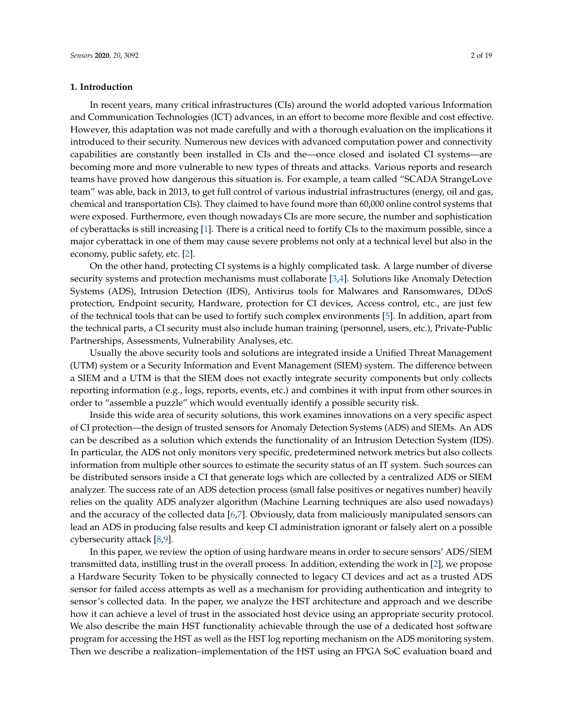#### **1. Introduction**

In recent years, many critical infrastructures (CIs) around the world adopted various Information and Communication Technologies (ICT) advances, in an effort to become more flexible and cost effective. However, this adaptation was not made carefully and with a thorough evaluation on the implications it introduced to their security. Numerous new devices with advanced computation power and connectivity capabilities are constantly been installed in CIs and the—once closed and isolated CI systems—are becoming more and more vulnerable to new types of threats and attacks. Various reports and research teams have proved how dangerous this situation is. For example, a team called "SCADA StrangeLove team" was able, back in 2013, to get full control of various industrial infrastructures (energy, oil and gas, chemical and transportation CIs). They claimed to have found more than 60,000 online control systems that were exposed. Furthermore, even though nowadays CIs are more secure, the number and sophistication of cyberattacks is still increasing [\[1\]](#page-16-0). There is a critical need to fortify CIs to the maximum possible, since a major cyberattack in one of them may cause severe problems not only at a technical level but also in the economy, public safety, etc. [\[2\]](#page-16-1).

On the other hand, protecting CI systems is a highly complicated task. A large number of diverse security systems and protection mechanisms must collaborate [\[3,](#page-16-2)[4\]](#page-16-3). Solutions like Anomaly Detection Systems (ADS), Intrusion Detection (IDS), Antivirus tools for Malwares and Ransomwares, DDoS protection, Endpoint security, Hardware, protection for CI devices, Access control, etc., are just few of the technical tools that can be used to fortify such complex environments [\[5\]](#page-16-4). In addition, apart from the technical parts, a CI security must also include human training (personnel, users, etc.), Private-Public Partnerships, Assessments, Vulnerability Analyses, etc.

Usually the above security tools and solutions are integrated inside a Unified Threat Management (UTM) system or a Security Information and Event Management (SIEM) system. The difference between a SIEM and a UTM is that the SIEM does not exactly integrate security components but only collects reporting information (e.g., logs, reports, events, etc.) and combines it with input from other sources in order to "assemble a puzzle" which would eventually identify a possible security risk.

Inside this wide area of security solutions, this work examines innovations on a very specific aspect of CI protection—the design of trusted sensors for Anomaly Detection Systems (ADS) and SIEMs. An ADS can be described as a solution which extends the functionality of an Intrusion Detection System (IDS). In particular, the ADS not only monitors very specific, predetermined network metrics but also collects information from multiple other sources to estimate the security status of an IT system. Such sources can be distributed sensors inside a CI that generate logs which are collected by a centralized ADS or SIEM analyzer. The success rate of an ADS detection process (small false positives or negatives number) heavily relies on the quality ADS analyzer algorithm (Machine Learning techniques are also used nowadays) and the accuracy of the collected data [\[6,](#page-16-5)[7\]](#page-16-6). Obviously, data from maliciously manipulated sensors can lead an ADS in producing false results and keep CI administration ignorant or falsely alert on a possible cybersecurity attack [\[8](#page-16-7)[,9\]](#page-16-8).

In this paper, we review the option of using hardware means in order to secure sensors' ADS/SIEM transmitted data, instilling trust in the overall process. In addition, extending the work in [\[2\]](#page-16-1), we propose a Hardware Security Token to be physically connected to legacy CI devices and act as a trusted ADS sensor for failed access attempts as well as a mechanism for providing authentication and integrity to sensor's collected data. In the paper, we analyze the HST architecture and approach and we describe how it can achieve a level of trust in the associated host device using an appropriate security protocol. We also describe the main HST functionality achievable through the use of a dedicated host software program for accessing the HST as well as the HST log reporting mechanism on the ADS monitoring system. Then we describe a realization–implementation of the HST using an FPGA SoC evaluation board and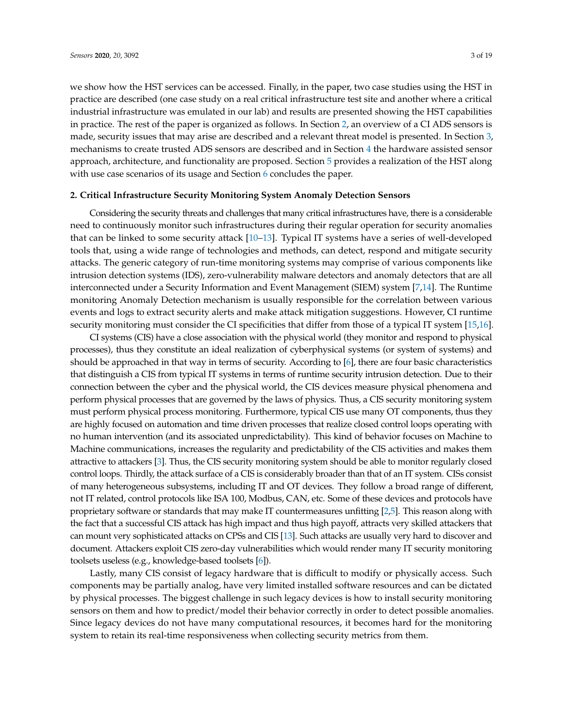we show how the HST services can be accessed. Finally, in the paper, two case studies using the HST in practice are described (one case study on a real critical infrastructure test site and another where a critical industrial infrastructure was emulated in our lab) and results are presented showing the HST capabilities in practice. The rest of the paper is organized as follows. In Section [2,](#page-2-0) an overview of a CI ADS sensors is made, security issues that may arise are described and a relevant threat model is presented. In Section [3,](#page-4-0) mechanisms to create trusted ADS sensors are described and in Section [4](#page-5-0) the hardware assisted sensor approach, architecture, and functionality are proposed. Section [5](#page-11-0) provides a realization of the HST along with use case scenarios of its usage and Section [6](#page-15-0) concludes the paper.

## <span id="page-2-0"></span>**2. Critical Infrastructure Security Monitoring System Anomaly Detection Sensors**

Considering the security threats and challenges that many critical infrastructures have, there is a considerable need to continuously monitor such infrastructures during their regular operation for security anomalies that can be linked to some security attack [\[10–](#page-16-9)[13\]](#page-16-10). Typical IT systems have a series of well-developed tools that, using a wide range of technologies and methods, can detect, respond and mitigate security attacks. The generic category of run-time monitoring systems may comprise of various components like intrusion detection systems (IDS), zero-vulnerability malware detectors and anomaly detectors that are all interconnected under a Security Information and Event Management (SIEM) system [\[7](#page-16-6)[,14\]](#page-16-11). The Runtime monitoring Anomaly Detection mechanism is usually responsible for the correlation between various events and logs to extract security alerts and make attack mitigation suggestions. However, CI runtime security monitoring must consider the CI specificities that differ from those of a typical IT system [\[15](#page-17-0)[,16\]](#page-17-1).

CI systems (CIS) have a close association with the physical world (they monitor and respond to physical processes), thus they constitute an ideal realization of cyberphysical systems (or system of systems) and should be approached in that way in terms of security. According to [\[6\]](#page-16-5), there are four basic characteristics that distinguish a CIS from typical IT systems in terms of runtime security intrusion detection. Due to their connection between the cyber and the physical world, the CIS devices measure physical phenomena and perform physical processes that are governed by the laws of physics. Thus, a CIS security monitoring system must perform physical process monitoring. Furthermore, typical CIS use many OT components, thus they are highly focused on automation and time driven processes that realize closed control loops operating with no human intervention (and its associated unpredictability). This kind of behavior focuses on Machine to Machine communications, increases the regularity and predictability of the CIS activities and makes them attractive to attackers [\[3\]](#page-16-2). Thus, the CIS security monitoring system should be able to monitor regularly closed control loops. Thirdly, the attack surface of a CIS is considerably broader than that of an IT system. CISs consist of many heterogeneous subsystems, including IT and OT devices. They follow a broad range of different, not IT related, control protocols like ISA 100, Modbus, CAN, etc. Some of these devices and protocols have proprietary software or standards that may make IT countermeasures unfitting [\[2,](#page-16-1)[5\]](#page-16-4). This reason along with the fact that a successful CIS attack has high impact and thus high payoff, attracts very skilled attackers that can mount very sophisticated attacks on CPSs and CIS [\[13\]](#page-16-10). Such attacks are usually very hard to discover and document. Attackers exploit CIS zero-day vulnerabilities which would render many IT security monitoring toolsets useless (e.g., knowledge-based toolsets [\[6\]](#page-16-5)).

Lastly, many CIS consist of legacy hardware that is difficult to modify or physically access. Such components may be partially analog, have very limited installed software resources and can be dictated by physical processes. The biggest challenge in such legacy devices is how to install security monitoring sensors on them and how to predict/model their behavior correctly in order to detect possible anomalies. Since legacy devices do not have many computational resources, it becomes hard for the monitoring system to retain its real-time responsiveness when collecting security metrics from them.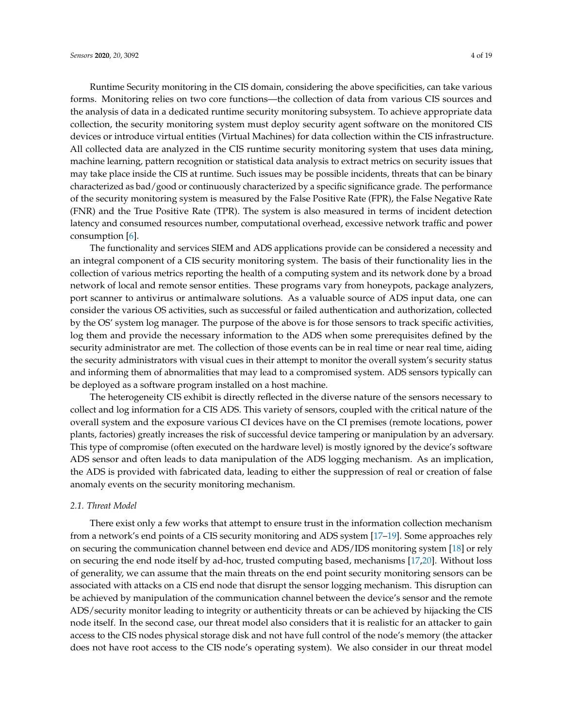Runtime Security monitoring in the CIS domain, considering the above specificities, can take various forms. Monitoring relies on two core functions—the collection of data from various CIS sources and the analysis of data in a dedicated runtime security monitoring subsystem. To achieve appropriate data collection, the security monitoring system must deploy security agent software on the monitored CIS devices or introduce virtual entities (Virtual Machines) for data collection within the CIS infrastructure. All collected data are analyzed in the CIS runtime security monitoring system that uses data mining, machine learning, pattern recognition or statistical data analysis to extract metrics on security issues that may take place inside the CIS at runtime. Such issues may be possible incidents, threats that can be binary characterized as bad/good or continuously characterized by a specific significance grade. The performance of the security monitoring system is measured by the False Positive Rate (FPR), the False Negative Rate (FNR) and the True Positive Rate (TPR). The system is also measured in terms of incident detection latency and consumed resources number, computational overhead, excessive network traffic and power consumption [\[6\]](#page-16-5).

The functionality and services SIEM and ADS applications provide can be considered a necessity and an integral component of a CIS security monitoring system. The basis of their functionality lies in the collection of various metrics reporting the health of a computing system and its network done by a broad network of local and remote sensor entities. These programs vary from honeypots, package analyzers, port scanner to antivirus or antimalware solutions. As a valuable source of ADS input data, one can consider the various OS activities, such as successful or failed authentication and authorization, collected by the OS' system log manager. The purpose of the above is for those sensors to track specific activities, log them and provide the necessary information to the ADS when some prerequisites defined by the security administrator are met. The collection of those events can be in real time or near real time, aiding the security administrators with visual cues in their attempt to monitor the overall system's security status and informing them of abnormalities that may lead to a compromised system. ADS sensors typically can be deployed as a software program installed on a host machine.

The heterogeneity CIS exhibit is directly reflected in the diverse nature of the sensors necessary to collect and log information for a CIS ADS. This variety of sensors, coupled with the critical nature of the overall system and the exposure various CI devices have on the CI premises (remote locations, power plants, factories) greatly increases the risk of successful device tampering or manipulation by an adversary. This type of compromise (often executed on the hardware level) is mostly ignored by the device's software ADS sensor and often leads to data manipulation of the ADS logging mechanism. As an implication, the ADS is provided with fabricated data, leading to either the suppression of real or creation of false anomaly events on the security monitoring mechanism.

## <span id="page-3-0"></span>*2.1. Threat Model*

There exist only a few works that attempt to ensure trust in the information collection mechanism from a network's end points of a CIS security monitoring and ADS system [\[17](#page-17-2)[–19\]](#page-17-3). Some approaches rely on securing the communication channel between end device and ADS/IDS monitoring system [\[18\]](#page-17-4) or rely on securing the end node itself by ad-hoc, trusted computing based, mechanisms [\[17](#page-17-2)[,20\]](#page-17-5). Without loss of generality, we can assume that the main threats on the end point security monitoring sensors can be associated with attacks on a CIS end node that disrupt the sensor logging mechanism. This disruption can be achieved by manipulation of the communication channel between the device's sensor and the remote ADS/security monitor leading to integrity or authenticity threats or can be achieved by hijacking the CIS node itself. In the second case, our threat model also considers that it is realistic for an attacker to gain access to the CIS nodes physical storage disk and not have full control of the node's memory (the attacker does not have root access to the CIS node's operating system). We also consider in our threat model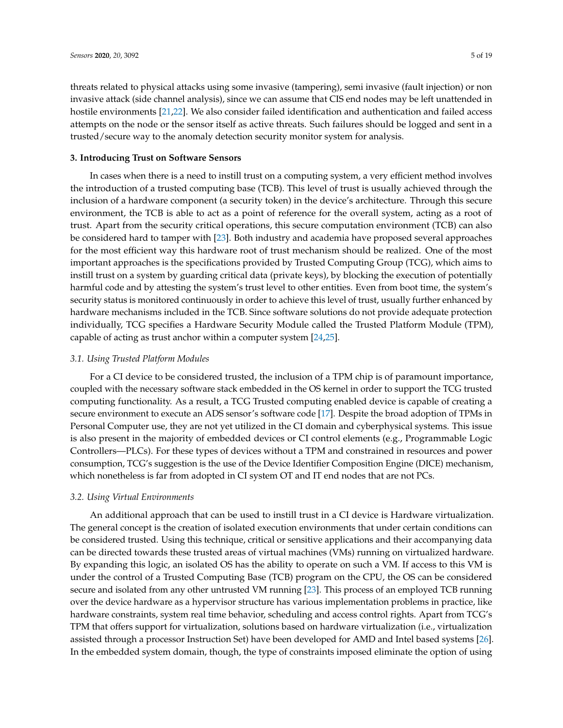threats related to physical attacks using some invasive (tampering), semi invasive (fault injection) or non invasive attack (side channel analysis), since we can assume that CIS end nodes may be left unattended in hostile environments [\[21,](#page-17-6)[22\]](#page-17-7). We also consider failed identification and authentication and failed access attempts on the node or the sensor itself as active threats. Such failures should be logged and sent in a trusted/secure way to the anomaly detection security monitor system for analysis.

#### <span id="page-4-0"></span>**3. Introducing Trust on Software Sensors**

In cases when there is a need to instill trust on a computing system, a very efficient method involves the introduction of a trusted computing base (TCB). This level of trust is usually achieved through the inclusion of a hardware component (a security token) in the device's architecture. Through this secure environment, the TCB is able to act as a point of reference for the overall system, acting as a root of trust. Apart from the security critical operations, this secure computation environment (TCB) can also be considered hard to tamper with [\[23\]](#page-17-8). Both industry and academia have proposed several approaches for the most efficient way this hardware root of trust mechanism should be realized. One of the most important approaches is the specifications provided by Trusted Computing Group (TCG), which aims to instill trust on a system by guarding critical data (private keys), by blocking the execution of potentially harmful code and by attesting the system's trust level to other entities. Even from boot time, the system's security status is monitored continuously in order to achieve this level of trust, usually further enhanced by hardware mechanisms included in the TCB. Since software solutions do not provide adequate protection individually, TCG specifies a Hardware Security Module called the Trusted Platform Module (TPM), capable of acting as trust anchor within a computer system [\[24](#page-17-9)[,25\]](#page-17-10).

## *3.1. Using Trusted Platform Modules*

For a CI device to be considered trusted, the inclusion of a TPM chip is of paramount importance, coupled with the necessary software stack embedded in the OS kernel in order to support the TCG trusted computing functionality. As a result, a TCG Trusted computing enabled device is capable of creating a secure environment to execute an ADS sensor's software code [\[17\]](#page-17-2). Despite the broad adoption of TPMs in Personal Computer use, they are not yet utilized in the CI domain and cyberphysical systems. This issue is also present in the majority of embedded devices or CI control elements (e.g., Programmable Logic Controllers—PLCs). For these types of devices without a TPM and constrained in resources and power consumption, TCG's suggestion is the use of the Device Identifier Composition Engine (DICE) mechanism, which nonetheless is far from adopted in CI system OT and IT end nodes that are not PCs.

#### *3.2. Using Virtual Environments*

An additional approach that can be used to instill trust in a CI device is Hardware virtualization. The general concept is the creation of isolated execution environments that under certain conditions can be considered trusted. Using this technique, critical or sensitive applications and their accompanying data can be directed towards these trusted areas of virtual machines (VMs) running on virtualized hardware. By expanding this logic, an isolated OS has the ability to operate on such a VM. If access to this VM is under the control of a Trusted Computing Base (TCB) program on the CPU, the OS can be considered secure and isolated from any other untrusted VM running [\[23\]](#page-17-8). This process of an employed TCB running over the device hardware as a hypervisor structure has various implementation problems in practice, like hardware constraints, system real time behavior, scheduling and access control rights. Apart from TCG's TPM that offers support for virtualization, solutions based on hardware virtualization (i.e., virtualization assisted through a processor Instruction Set) have been developed for AMD and Intel based systems [\[26\]](#page-17-11). In the embedded system domain, though, the type of constraints imposed eliminate the option of using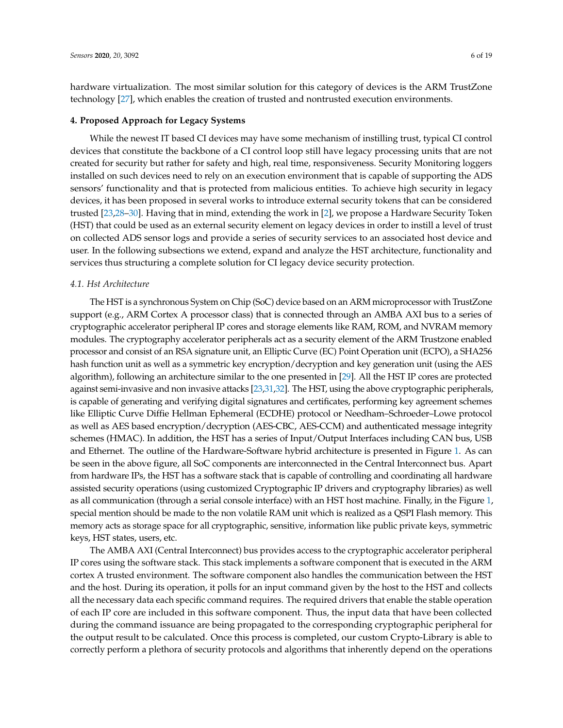hardware virtualization. The most similar solution for this category of devices is the ARM TrustZone technology [\[27\]](#page-17-12), which enables the creation of trusted and nontrusted execution environments.

#### <span id="page-5-0"></span>**4. Proposed Approach for Legacy Systems**

While the newest IT based CI devices may have some mechanism of instilling trust, typical CI control devices that constitute the backbone of a CI control loop still have legacy processing units that are not created for security but rather for safety and high, real time, responsiveness. Security Monitoring loggers installed on such devices need to rely on an execution environment that is capable of supporting the ADS sensors' functionality and that is protected from malicious entities. To achieve high security in legacy devices, it has been proposed in several works to introduce external security tokens that can be considered trusted [\[23](#page-17-8)[,28](#page-17-13)[–30\]](#page-17-14). Having that in mind, extending the work in [\[2\]](#page-16-1), we propose a Hardware Security Token (HST) that could be used as an external security element on legacy devices in order to instill a level of trust on collected ADS sensor logs and provide a series of security services to an associated host device and user. In the following subsections we extend, expand and analyze the HST architecture, functionality and services thus structuring a complete solution for CI legacy device security protection.

## *4.1. Hst Architecture*

The HST is a synchronous System on Chip (SoC) device based on an ARM microprocessor with TrustZone support (e.g., ARM Cortex A processor class) that is connected through an AMBA AXI bus to a series of cryptographic accelerator peripheral IP cores and storage elements like RAM, ROM, and NVRAM memory modules. The cryptography accelerator peripherals act as a security element of the ARM Trustzone enabled processor and consist of an RSA signature unit, an Elliptic Curve (EC) Point Operation unit (ECPO), a SHA256 hash function unit as well as a symmetric key encryption/decryption and key generation unit (using the AES algorithm), following an architecture similar to the one presented in [\[29\]](#page-17-15). All the HST IP cores are protected against semi-invasive and non invasive attacks [\[23,](#page-17-8)[31,](#page-17-16)[32\]](#page-17-17). The HST, using the above cryptographic peripherals, is capable of generating and verifying digital signatures and certificates, performing key agreement schemes like Elliptic Curve Diffie Hellman Ephemeral (ECDHE) protocol or Needham–Schroeder–Lowe protocol as well as AES based encryption/decryption (AES-CBC, AES-CCM) and authenticated message integrity schemes (HMAC). In addition, the HST has a series of Input/Output Interfaces including CAN bus, USB and Ethernet. The outline of the Hardware-Software hybrid architecture is presented in Figure [1.](#page-6-0) As can be seen in the above figure, all SoC components are interconnected in the Central Interconnect bus. Apart from hardware IPs, the HST has a software stack that is capable of controlling and coordinating all hardware assisted security operations (using customized Cryptographic IP drivers and cryptography libraries) as well as all communication (through a serial console interface) with an HST host machine. Finally, in the Figure [1,](#page-6-0) special mention should be made to the non volatile RAM unit which is realized as a QSPI Flash memory. This memory acts as storage space for all cryptographic, sensitive, information like public private keys, symmetric keys, HST states, users, etc.

The AMBA AXI (Central Interconnect) bus provides access to the cryptographic accelerator peripheral IP cores using the software stack. This stack implements a software component that is executed in the ARM cortex A trusted environment. The software component also handles the communication between the HST and the host. During its operation, it polls for an input command given by the host to the HST and collects all the necessary data each specific command requires. The required drivers that enable the stable operation of each IP core are included in this software component. Thus, the input data that have been collected during the command issuance are being propagated to the corresponding cryptographic peripheral for the output result to be calculated. Once this process is completed, our custom Crypto-Library is able to correctly perform a plethora of security protocols and algorithms that inherently depend on the operations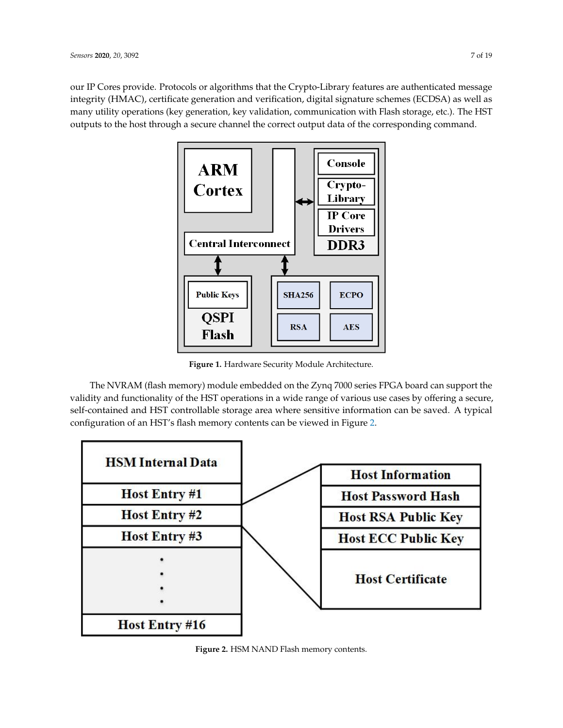<span id="page-6-0"></span>our IP Cores provide. Protocols or algorithms that the Crypto-Library features are authenticated message integrity (HMAC), certificate generation and verification, digital signature schemes (ECDSA) as well as many utility operations (key generation, key validation, communication with Flash storage, etc.). The HST outputs to the host through a secure channel the correct output data of the corresponding command.



**Figure 1.** Hardware Security Module Architecture.

The NVRAM (flash memory) module embedded on the Zynq 7000 series FPGA board can support the validity and functionality of the HST operations in a wide range of various use cases by offering a secure, self-contained and HST controllable storage area where sensitive information can be saved. A typical configuration of an HST's flash memory contents can be viewed in Figure [2.](#page-6-1)

<span id="page-6-1"></span>

**Figure 2.** HSM NAND Flash memory contents.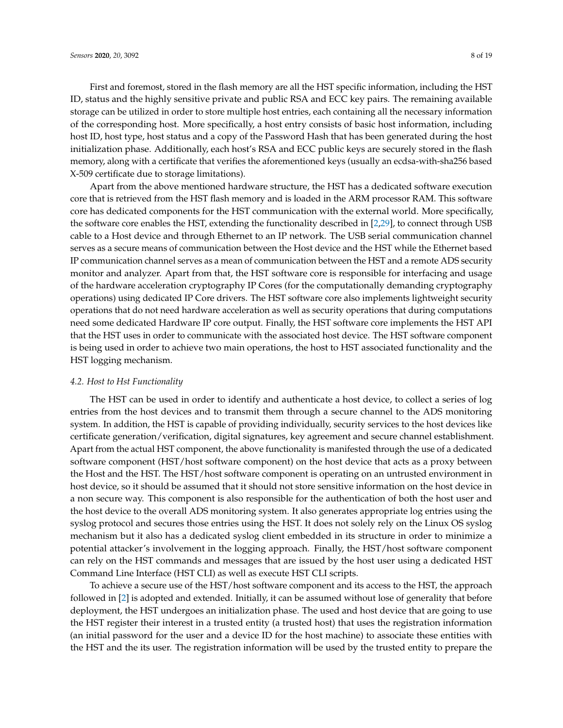First and foremost, stored in the flash memory are all the HST specific information, including the HST ID, status and the highly sensitive private and public RSA and ECC key pairs. The remaining available storage can be utilized in order to store multiple host entries, each containing all the necessary information of the corresponding host. More specifically, a host entry consists of basic host information, including host ID, host type, host status and a copy of the Password Hash that has been generated during the host initialization phase. Additionally, each host's RSA and ECC public keys are securely stored in the flash memory, along with a certificate that verifies the aforementioned keys (usually an ecdsa-with-sha256 based X-509 certificate due to storage limitations).

Apart from the above mentioned hardware structure, the HST has a dedicated software execution core that is retrieved from the HST flash memory and is loaded in the ARM processor RAM. This software core has dedicated components for the HST communication with the external world. More specifically, the software core enables the HST, extending the functionality described in [\[2,](#page-16-1)[29\]](#page-17-15), to connect through USB cable to a Host device and through Ethernet to an IP network. The USB serial communication channel serves as a secure means of communication between the Host device and the HST while the Ethernet based IP communication channel serves as a mean of communication between the HST and a remote ADS security monitor and analyzer. Apart from that, the HST software core is responsible for interfacing and usage of the hardware acceleration cryptography IP Cores (for the computationally demanding cryptography operations) using dedicated IP Core drivers. The HST software core also implements lightweight security operations that do not need hardware acceleration as well as security operations that during computations need some dedicated Hardware IP core output. Finally, the HST software core implements the HST API that the HST uses in order to communicate with the associated host device. The HST software component is being used in order to achieve two main operations, the host to HST associated functionality and the HST logging mechanism.

## *4.2. Host to Hst Functionality*

The HST can be used in order to identify and authenticate a host device, to collect a series of log entries from the host devices and to transmit them through a secure channel to the ADS monitoring system. In addition, the HST is capable of providing individually, security services to the host devices like certificate generation/verification, digital signatures, key agreement and secure channel establishment. Apart from the actual HST component, the above functionality is manifested through the use of a dedicated software component (HST/host software component) on the host device that acts as a proxy between the Host and the HST. The HST/host software component is operating on an untrusted environment in host device, so it should be assumed that it should not store sensitive information on the host device in a non secure way. This component is also responsible for the authentication of both the host user and the host device to the overall ADS monitoring system. It also generates appropriate log entries using the syslog protocol and secures those entries using the HST. It does not solely rely on the Linux OS syslog mechanism but it also has a dedicated syslog client embedded in its structure in order to minimize a potential attacker's involvement in the logging approach. Finally, the HST/host software component can rely on the HST commands and messages that are issued by the host user using a dedicated HST Command Line Interface (HST CLI) as well as execute HST CLI scripts.

To achieve a secure use of the HST/host software component and its access to the HST, the approach followed in [\[2\]](#page-16-1) is adopted and extended. Initially, it can be assumed without lose of generality that before deployment, the HST undergoes an initialization phase. The used and host device that are going to use the HST register their interest in a trusted entity (a trusted host) that uses the registration information (an initial password for the user and a device ID for the host machine) to associate these entities with the HST and the its user. The registration information will be used by the trusted entity to prepare the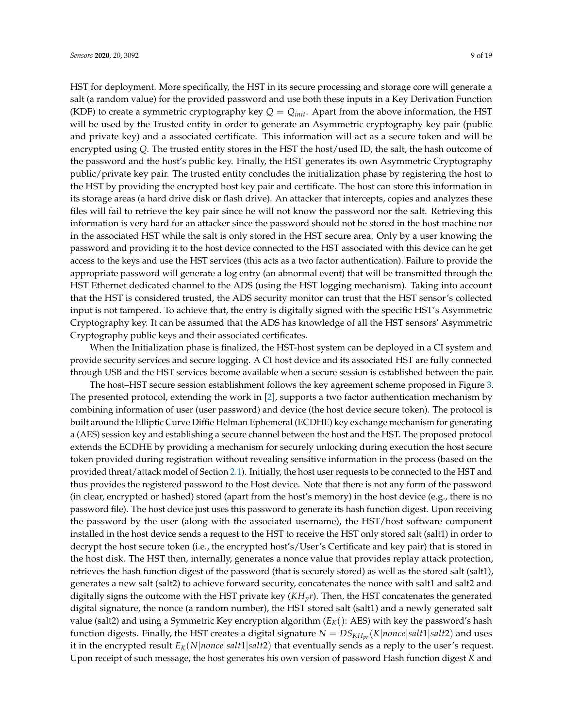HST for deployment. More specifically, the HST in its secure processing and storage core will generate a salt (a random value) for the provided password and use both these inputs in a Key Derivation Function (KDF) to create a symmetric cryptography key  $Q = Q_{init}$ . Apart from the above information, the HST will be used by the Trusted entity in order to generate an Asymmetric cryptography key pair (public and private key) and a associated certificate. This information will act as a secure token and will be encrypted using *Q*. The trusted entity stores in the HST the host/used ID, the salt, the hash outcome of the password and the host's public key. Finally, the HST generates its own Asymmetric Cryptography public/private key pair. The trusted entity concludes the initialization phase by registering the host to the HST by providing the encrypted host key pair and certificate. The host can store this information in its storage areas (a hard drive disk or flash drive). An attacker that intercepts, copies and analyzes these files will fail to retrieve the key pair since he will not know the password nor the salt. Retrieving this information is very hard for an attacker since the password should not be stored in the host machine nor in the associated HST while the salt is only stored in the HST secure area. Only by a user knowing the password and providing it to the host device connected to the HST associated with this device can he get access to the keys and use the HST services (this acts as a two factor authentication). Failure to provide the appropriate password will generate a log entry (an abnormal event) that will be transmitted through the HST Ethernet dedicated channel to the ADS (using the HST logging mechanism). Taking into account that the HST is considered trusted, the ADS security monitor can trust that the HST sensor's collected input is not tampered. To achieve that, the entry is digitally signed with the specific HST's Asymmetric Cryptography key. It can be assumed that the ADS has knowledge of all the HST sensors' Asymmetric Cryptography public keys and their associated certificates.

When the Initialization phase is finalized, the HST-host system can be deployed in a CI system and provide security services and secure logging. A CI host device and its associated HST are fully connected through USB and the HST services become available when a secure session is established between the pair.

The host–HST secure session establishment follows the key agreement scheme proposed in Figure [3.](#page-9-0) The presented protocol, extending the work in [\[2\]](#page-16-1), supports a two factor authentication mechanism by combining information of user (user password) and device (the host device secure token). The protocol is built around the Elliptic Curve Diffie Helman Ephemeral (ECDHE) key exchange mechanism for generating a (AES) session key and establishing a secure channel between the host and the HST. The proposed protocol extends the ECDHE by providing a mechanism for securely unlocking during execution the host secure token provided during registration without revealing sensitive information in the process (based on the provided threat/attack model of Section [2.1\)](#page-3-0). Initially, the host user requests to be connected to the HST and thus provides the registered password to the Host device. Note that there is not any form of the password (in clear, encrypted or hashed) stored (apart from the host's memory) in the host device (e.g., there is no password file). The host device just uses this password to generate its hash function digest. Upon receiving the password by the user (along with the associated username), the HST/host software component installed in the host device sends a request to the HST to receive the HST only stored salt (salt1) in order to decrypt the host secure token (i.e., the encrypted host's/User's Certificate and key pair) that is stored in the host disk. The HST then, internally, generates a nonce value that provides replay attack protection, retrieves the hash function digest of the password (that is securely stored) as well as the stored salt (salt1), generates a new salt (salt2) to achieve forward security, concatenates the nonce with salt1 and salt2 and digitally signs the outcome with the HST private key (*KHpr*). Then, the HST concatenates the generated digital signature, the nonce (a random number), the HST stored salt (salt1) and a newly generated salt value (salt2) and using a Symmetric Key encryption algorithm  $(E_K()$ : AES) with key the password's hash function digests. Finally, the HST creates a digital signature *N* = *DSKHpr* (*K*|*nonce*|*salt*1|*salt*2) and uses it in the encrypted result  $E_K(N|nonce|salt1|salt2)$  that eventually sends as a reply to the user's request. Upon receipt of such message, the host generates his own version of password Hash function digest *K* and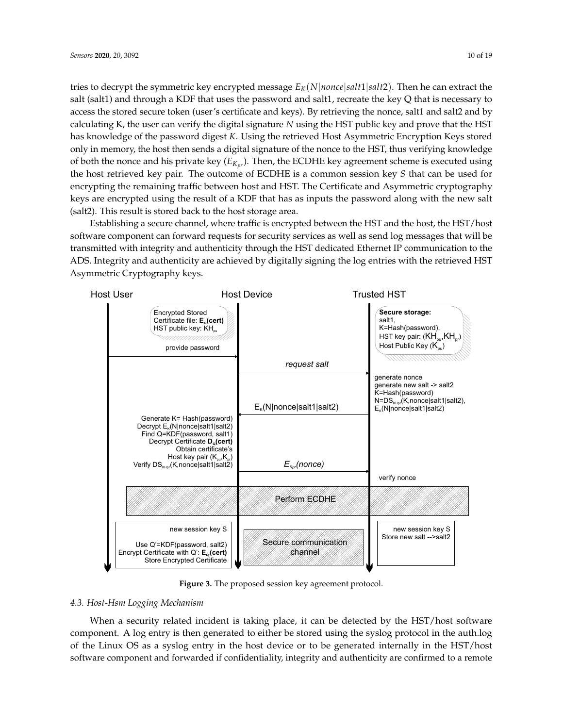tries to decrypt the symmetric key encrypted message  $E_K(N|nonce|salt1|salt2)$ . Then he can extract the salt (salt1) and through a KDF that uses the password and salt1, recreate the key Q that is necessary to access the stored secure token (user's certificate and keys). By retrieving the nonce, salt1 and salt2 and by calculating K, the user can verify the digital signature *N* using the HST public key and prove that the HST has knowledge of the password digest *K*. Using the retrieved Host Asymmetric Encryption Keys stored only in memory, the host then sends a digital signature of the nonce to the HST, thus verifying knowledge of both the nonce and his private key (*EKpr* ). Then, the ECDHE key agreement scheme is executed using the host retrieved key pair. The outcome of ECDHE is a common session key *S* that can be used for encrypting the remaining traffic between host and HST. The Certificate and Asymmetric cryptography keys are encrypted using the result of a KDF that has as inputs the password along with the new salt (salt2). This result is stored back to the host storage area.

Establishing a secure channel, where traffic is encrypted between the HST and the host, the HST/host software component can forward requests for security services as well as send log messages that will be transmitted with integrity and authenticity through the HST dedicated Ethernet IP communication to the ADS. Integrity and authenticity are achieved by digitally signing the log entries with the retrieved HST Asymmetric Cryptography keys.

<span id="page-9-0"></span>

**Figure 3.** The proposed session key agreement protocol.

## *4.3. Host-Hsm Logging Mechanism*

When a security related incident is taking place, it can be detected by the HST/host software component. A log entry is then generated to either be stored using the syslog protocol in the auth.log of the Linux OS as a syslog entry in the host device or to be generated internally in the HST/host software component and forwarded if confidentiality, integrity and authenticity are confirmed to a remote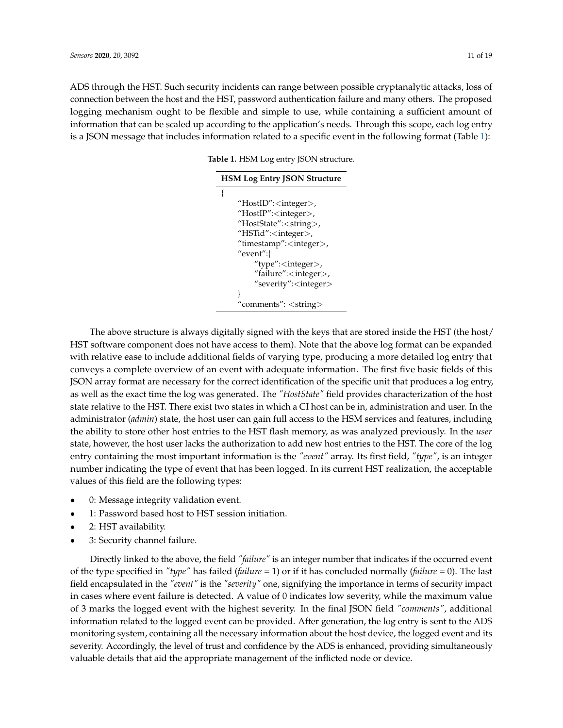<span id="page-10-0"></span>ADS through the HST. Such security incidents can range between possible cryptanalytic attacks, loss of connection between the host and the HST, password authentication failure and many others. The proposed logging mechanism ought to be flexible and simple to use, while containing a sufficient amount of information that can be scaled up according to the application's needs. Through this scope, each log entry is a JSON message that includes information related to a specific event in the following format (Table [1\)](#page-10-0):

**Table 1.** HSM Log entry JSON structure.

| <b>HSM Log Entry JSON Structure</b> |
|-------------------------------------|
|                                     |
| "HostID": <integer>,</integer>      |
| "HostIP": <integer>,</integer>      |
| "HostState": <string>,</string>     |
| "HSTid": <integer>,</integer>       |
| "timestamp": <integer>,</integer>   |
| "event":{                           |
| "type": <integer>,</integer>        |
| "failure": <integer>,</integer>     |
| "severity": <integer></integer>     |
|                                     |
| comments": <string></string>        |

The above structure is always digitally signed with the keys that are stored inside the HST (the host/ HST software component does not have access to them). Note that the above log format can be expanded with relative ease to include additional fields of varying type, producing a more detailed log entry that conveys a complete overview of an event with adequate information. The first five basic fields of this JSON array format are necessary for the correct identification of the specific unit that produces a log entry, as well as the exact time the log was generated. The *"HostState"* field provides characterization of the host state relative to the HST. There exist two states in which a CI host can be in, administration and user. In the administrator (*admin*) state, the host user can gain full access to the HSM services and features, including the ability to store other host entries to the HST flash memory, as was analyzed previously. In the *user* state, however, the host user lacks the authorization to add new host entries to the HST. The core of the log entry containing the most important information is the *"event"* array. Its first field, *"type"*, is an integer number indicating the type of event that has been logged. In its current HST realization, the acceptable values of this field are the following types:

- 0: Message integrity validation event.
- 1: Password based host to HST session initiation.
- 2: HST availability.
- 3: Security channel failure.

Directly linked to the above, the field *"failure"* is an integer number that indicates if the occurred event of the type specified in *"type"* has failed (*failure* = 1) or if it has concluded normally (*failure* = 0). The last field encapsulated in the *"event"* is the *"severity"* one, signifying the importance in terms of security impact in cases where event failure is detected. A value of 0 indicates low severity, while the maximum value of 3 marks the logged event with the highest severity. In the final JSON field *"comments"*, additional information related to the logged event can be provided. After generation, the log entry is sent to the ADS monitoring system, containing all the necessary information about the host device, the logged event and its severity. Accordingly, the level of trust and confidence by the ADS is enhanced, providing simultaneously valuable details that aid the appropriate management of the inflicted node or device.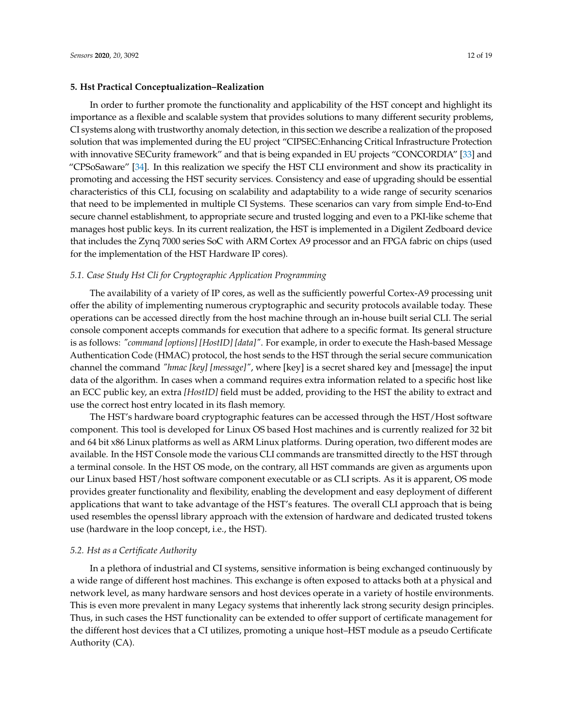#### <span id="page-11-0"></span>**5. Hst Practical Conceptualization–Realization**

In order to further promote the functionality and applicability of the HST concept and highlight its importance as a flexible and scalable system that provides solutions to many different security problems, CI systems along with trustworthy anomaly detection, in this section we describe a realization of the proposed solution that was implemented during the EU project "CIPSEC:Enhancing Critical Infrastructure Protection with innovative SECurity framework" and that is being expanded in EU projects "CONCORDIA" [\[33\]](#page-17-18) and "CPSoSaware"  $[34]$ . In this realization we specify the HST CLI environment and show its practicality in promoting and accessing the HST security services. Consistency and ease of upgrading should be essential characteristics of this CLI, focusing on scalability and adaptability to a wide range of security scenarios that need to be implemented in multiple CI Systems. These scenarios can vary from simple End-to-End secure channel establishment, to appropriate secure and trusted logging and even to a PKI-like scheme that manages host public keys. In its current realization, the HST is implemented in a Digilent Zedboard device that includes the Zynq 7000 series SoC with ARM Cortex A9 processor and an FPGA fabric on chips (used for the implementation of the HST Hardware IP cores).

#### *5.1. Case Study Hst Cli for Cryptographic Application Programming*

The availability of a variety of IP cores, as well as the sufficiently powerful Cortex-A9 processing unit offer the ability of implementing numerous cryptographic and security protocols available today. These operations can be accessed directly from the host machine through an in-house built serial CLI. The serial console component accepts commands for execution that adhere to a specific format. Its general structure is as follows: *"command [options] [HostID] [data]"*. For example, in order to execute the Hash-based Message Authentication Code (HMAC) protocol, the host sends to the HST through the serial secure communication channel the command *"hmac [key] [message]"*, where [key] is a secret shared key and [message] the input data of the algorithm. In cases when a command requires extra information related to a specific host like an ECC public key, an extra *[HostID]* field must be added, providing to the HST the ability to extract and use the correct host entry located in its flash memory.

The HST's hardware board cryptographic features can be accessed through the HST/Host software component. This tool is developed for Linux OS based Host machines and is currently realized for 32 bit and 64 bit x86 Linux platforms as well as ARM Linux platforms. During operation, two different modes are available. In the HST Console mode the various CLI commands are transmitted directly to the HST through a terminal console. In the HST OS mode, on the contrary, all HST commands are given as arguments upon our Linux based HST/host software component executable or as CLI scripts. As it is apparent, OS mode provides greater functionality and flexibility, enabling the development and easy deployment of different applications that want to take advantage of the HST's features. The overall CLI approach that is being used resembles the openssl library approach with the extension of hardware and dedicated trusted tokens use (hardware in the loop concept, i.e., the HST).

## *5.2. Hst as a Certificate Authority*

In a plethora of industrial and CI systems, sensitive information is being exchanged continuously by a wide range of different host machines. This exchange is often exposed to attacks both at a physical and network level, as many hardware sensors and host devices operate in a variety of hostile environments. This is even more prevalent in many Legacy systems that inherently lack strong security design principles. Thus, in such cases the HST functionality can be extended to offer support of certificate management for the different host devices that a CI utilizes, promoting a unique host–HST module as a pseudo Certificate Authority (CA).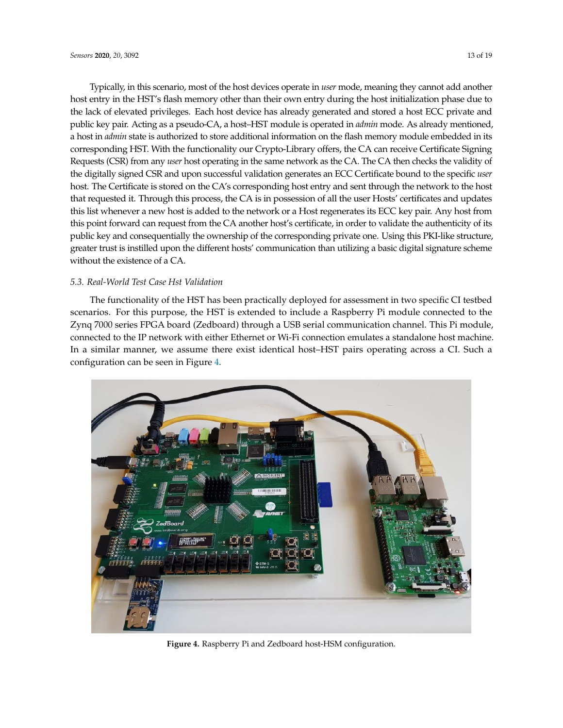Typically, in this scenario, most of the host devices operate in *user* mode, meaning they cannot add another host entry in the HST's flash memory other than their own entry during the host initialization phase due to the lack of elevated privileges. Each host device has already generated and stored a host ECC private and public key pair. Acting as a pseudo-CA, a host–HST module is operated in *admin* mode. As already mentioned, a host in *admin* state is authorized to store additional information on the flash memory module embedded in its corresponding HST. With the functionality our Crypto-Library offers, the CA can receive Certificate Signing Requests (CSR) from any *user* host operating in the same network as the CA. The CA then checks the validity of the digitally signed CSR and upon successful validation generates an ECC Certificate bound to the specific *user* host. The Certificate is stored on the CA's corresponding host entry and sent through the network to the host that requested it. Through this process, the CA is in possession of all the user Hosts' certificates and updates this list whenever a new host is added to the network or a Host regenerates its ECC key pair. Any host from this point forward can request from the CA another host's certificate, in order to validate the authenticity of its public key and consequentially the ownership of the corresponding private one. Using this PKI-like structure, greater trust is instilled upon the different hosts' communication than utilizing a basic digital signature scheme without the existence of a CA.

# *5.3. Real-World Test Case Hst Validation*

The functionality of the HST has been practically deployed for assessment in two specific CI testbed scenarios. For this purpose, the HST is extended to include a Raspberry Pi module connected to the Zynq 7000 series FPGA board (Zedboard) through a USB serial communication channel. This Pi module, connected to the IP network with either Ethernet or Wi-Fi connection emulates a standalone host machine. In a similar manner, we assume there exist identical host–HST pairs operating across a CI. Such a configuration can be seen in Figure [4.](#page-12-0)

<span id="page-12-0"></span>

**Figure 4.** Raspberry Pi and Zedboard host-HSM configuration.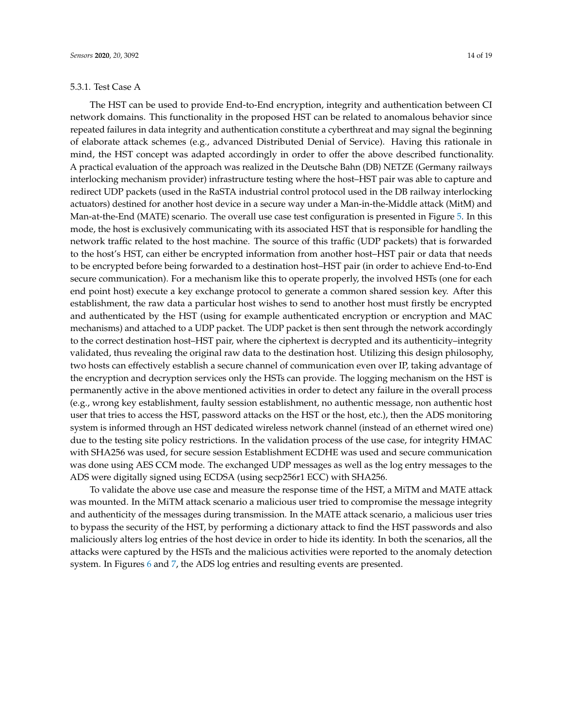#### 5.3.1. Test Case A

The HST can be used to provide End-to-End encryption, integrity and authentication between CI network domains. This functionality in the proposed HST can be related to anomalous behavior since repeated failures in data integrity and authentication constitute a cyberthreat and may signal the beginning of elaborate attack schemes (e.g., advanced Distributed Denial of Service). Having this rationale in mind, the HST concept was adapted accordingly in order to offer the above described functionality. A practical evaluation of the approach was realized in the Deutsche Bahn (DB) NETZE (Germany railways interlocking mechanism provider) infrastructure testing where the host–HST pair was able to capture and redirect UDP packets (used in the RaSTA industrial control protocol used in the DB railway interlocking actuators) destined for another host device in a secure way under a Man-in-the-Middle attack (MitM) and Man-at-the-End (MATE) scenario. The overall use case test configuration is presented in Figure [5.](#page-14-0) In this mode, the host is exclusively communicating with its associated HST that is responsible for handling the network traffic related to the host machine. The source of this traffic (UDP packets) that is forwarded to the host's HST, can either be encrypted information from another host–HST pair or data that needs to be encrypted before being forwarded to a destination host–HST pair (in order to achieve End-to-End secure communication). For a mechanism like this to operate properly, the involved HSTs (one for each end point host) execute a key exchange protocol to generate a common shared session key. After this establishment, the raw data a particular host wishes to send to another host must firstly be encrypted and authenticated by the HST (using for example authenticated encryption or encryption and MAC mechanisms) and attached to a UDP packet. The UDP packet is then sent through the network accordingly to the correct destination host–HST pair, where the ciphertext is decrypted and its authenticity–integrity validated, thus revealing the original raw data to the destination host. Utilizing this design philosophy, two hosts can effectively establish a secure channel of communication even over IP, taking advantage of the encryption and decryption services only the HSTs can provide. The logging mechanism on the HST is permanently active in the above mentioned activities in order to detect any failure in the overall process (e.g., wrong key establishment, faulty session establishment, no authentic message, non authentic host user that tries to access the HST, password attacks on the HST or the host, etc.), then the ADS monitoring system is informed through an HST dedicated wireless network channel (instead of an ethernet wired one) due to the testing site policy restrictions. In the validation process of the use case, for integrity HMAC with SHA256 was used, for secure session Establishment ECDHE was used and secure communication was done using AES CCM mode. The exchanged UDP messages as well as the log entry messages to the ADS were digitally signed using ECDSA (using secp256r1 ECC) with SHA256.

To validate the above use case and measure the response time of the HST, a MiTM and MATE attack was mounted. In the MiTM attack scenario a malicious user tried to compromise the message integrity and authenticity of the messages during transmission. In the MATE attack scenario, a malicious user tries to bypass the security of the HST, by performing a dictionary attack to find the HST passwords and also maliciously alters log entries of the host device in order to hide its identity. In both the scenarios, all the attacks were captured by the HSTs and the malicious activities were reported to the anomaly detection system. In Figures [6](#page-14-1) and [7,](#page-14-2) the ADS log entries and resulting events are presented.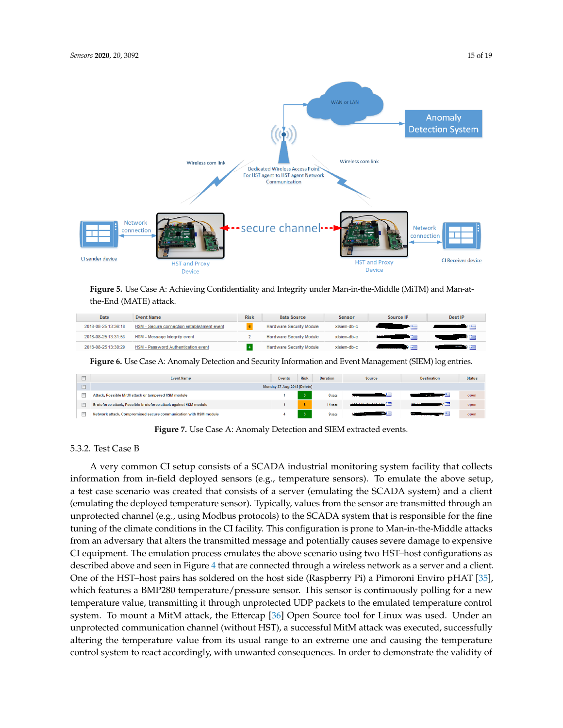<span id="page-14-0"></span>

**Figure 5.** Use Case A: Achieving Confidentiality and Integrity under Man-in-the-Middle (MiTM) and Man-atthe-End (MATE) attack.

<span id="page-14-1"></span>

| Date                | <b>Event Name</b>                           | <b>Risk</b> | Data Source                     | Sensor      | Source IP                                                 | <b>Dest IP</b> |
|---------------------|---------------------------------------------|-------------|---------------------------------|-------------|-----------------------------------------------------------|----------------|
| 2018-08-25 13:36:18 | HSM - Secure connection establishment event |             | Hardware Security Module        | xisiem-db-c |                                                           |                |
| 2018-08-25 13:31:53 | HSM - Message Integrity event               |             | Hardware Security Module        | xisiem-db-c | <b><i>The Committee Committee Committee Committee</i></b> |                |
| 2018-08-25 13:30:29 | <b>HSM - Password Authentication event</b>  |             | <b>Hardware Security Module</b> | xisiem-db-c | ,                                                         |                |

**Figure 6.** Use Case A: Anomaly Detection and Security Information and Event Management (SIEM) log entries.

<span id="page-14-2"></span>

| <b>Event Name</b>                                                | <b>Events</b> | <b>Risk</b> | Duration          | Source | <b>Destination</b>                | <b>Status</b> |
|------------------------------------------------------------------|---------------|-------------|-------------------|--------|-----------------------------------|---------------|
| Monday 27-Aug-2018 [Delete]                                      |               |             |                   |        |                                   |               |
| Attack, Possible MitM attack or tampered HSM module              |               |             | 6 secs            | ستن    | ڪنر<br><b>Service Controllers</b> | open          |
| Bruteforce attack, Possible bruteforce attack against HSM module |               | -6          | 14 <sub>sec</sub> |        | v≔                                | open          |
| Network attack, Compromised secure communication with HSM module |               |             | 9 secs            | $m =$  | كان                               | open          |

**Figure 7.** Use Case A: Anomaly Detection and SIEM extracted events.

# 5.3.2. Test Case B

A very common CI setup consists of a SCADA industrial monitoring system facility that collects information from in-field deployed sensors (e.g., temperature sensors). To emulate the above setup, a test case scenario was created that consists of a server (emulating the SCADA system) and a client (emulating the deployed temperature sensor). Typically, values from the sensor are transmitted through an unprotected channel (e.g., using Modbus protocols) to the SCADA system that is responsible for the fine tuning of the climate conditions in the CI facility. This configuration is prone to Man-in-the-Middle attacks from an adversary that alters the transmitted message and potentially causes severe damage to expensive CI equipment. The emulation process emulates the above scenario using two HST–host configurations as described above and seen in Figure [4](#page-12-0) that are connected through a wireless network as a server and a client. One of the HST–host pairs has soldered on the host side (Raspberry Pi) a Pimoroni Enviro pHAT [\[35\]](#page-18-0), which features a BMP280 temperature/pressure sensor. This sensor is continuously polling for a new temperature value, transmitting it through unprotected UDP packets to the emulated temperature control system. To mount a MitM attack, the Ettercap [\[36\]](#page-18-1) Open Source tool for Linux was used. Under an unprotected communication channel (without HST), a successful MitM attack was executed, successfully altering the temperature value from its usual range to an extreme one and causing the temperature control system to react accordingly, with unwanted consequences. In order to demonstrate the validity of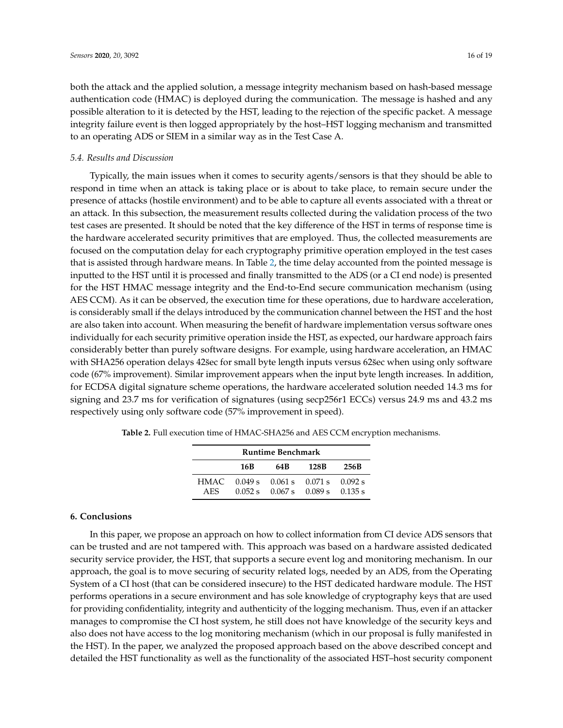both the attack and the applied solution, a message integrity mechanism based on hash-based message authentication code (HMAC) is deployed during the communication. The message is hashed and any possible alteration to it is detected by the HST, leading to the rejection of the specific packet. A message integrity failure event is then logged appropriately by the host–HST logging mechanism and transmitted to an operating ADS or SIEM in a similar way as in the Test Case A.

# *5.4. Results and Discussion*

Typically, the main issues when it comes to security agents/sensors is that they should be able to respond in time when an attack is taking place or is about to take place, to remain secure under the presence of attacks (hostile environment) and to be able to capture all events associated with a threat or an attack. In this subsection, the measurement results collected during the validation process of the two test cases are presented. It should be noted that the key difference of the HST in terms of response time is the hardware accelerated security primitives that are employed. Thus, the collected measurements are focused on the computation delay for each cryptography primitive operation employed in the test cases that is assisted through hardware means. In Table [2,](#page-15-1) the time delay accounted from the pointed message is inputted to the HST until it is processed and finally transmitted to the ADS (or a CI end node) is presented for the HST HMAC message integrity and the End-to-End secure communication mechanism (using AES CCM). As it can be observed, the execution time for these operations, due to hardware acceleration, is considerably small if the delays introduced by the communication channel between the HST and the host are also taken into account. When measuring the benefit of hardware implementation versus software ones individually for each security primitive operation inside the HST, as expected, our hardware approach fairs considerably better than purely software designs. For example, using hardware acceleration, an HMAC with SHA256 operation delays 42sec for small byte length inputs versus 62sec when using only software code (67% improvement). Similar improvement appears when the input byte length increases. In addition, for ECDSA digital signature scheme operations, the hardware accelerated solution needed 14.3 ms for signing and 23.7 ms for verification of signatures (using secp256r1 ECCs) versus 24.9 ms and 43.2 ms respectively using only software code (57% improvement in speed).

| <b>Runtime Benchmark</b> |         |     |                                                                          |      |  |  |  |
|--------------------------|---------|-----|--------------------------------------------------------------------------|------|--|--|--|
|                          | 16B     | 64B | 128B                                                                     | 256B |  |  |  |
| HMAC -<br>AES.           | 0.052 s |     | $0.049 s$ $0.061 s$ $0.071 s$ $0.092 s$<br>$0.067$ s $0.089$ s $0.135$ s |      |  |  |  |

<span id="page-15-1"></span>**Table 2.** Full execution time of HMAC-SHA256 and AES CCM encryption mechanisms.

# <span id="page-15-0"></span>**6. Conclusions**

In this paper, we propose an approach on how to collect information from CI device ADS sensors that can be trusted and are not tampered with. This approach was based on a hardware assisted dedicated security service provider, the HST, that supports a secure event log and monitoring mechanism. In our approach, the goal is to move securing of security related logs, needed by an ADS, from the Operating System of a CI host (that can be considered insecure) to the HST dedicated hardware module. The HST performs operations in a secure environment and has sole knowledge of cryptography keys that are used for providing confidentiality, integrity and authenticity of the logging mechanism. Thus, even if an attacker manages to compromise the CI host system, he still does not have knowledge of the security keys and also does not have access to the log monitoring mechanism (which in our proposal is fully manifested in the HST). In the paper, we analyzed the proposed approach based on the above described concept and detailed the HST functionality as well as the functionality of the associated HST–host security component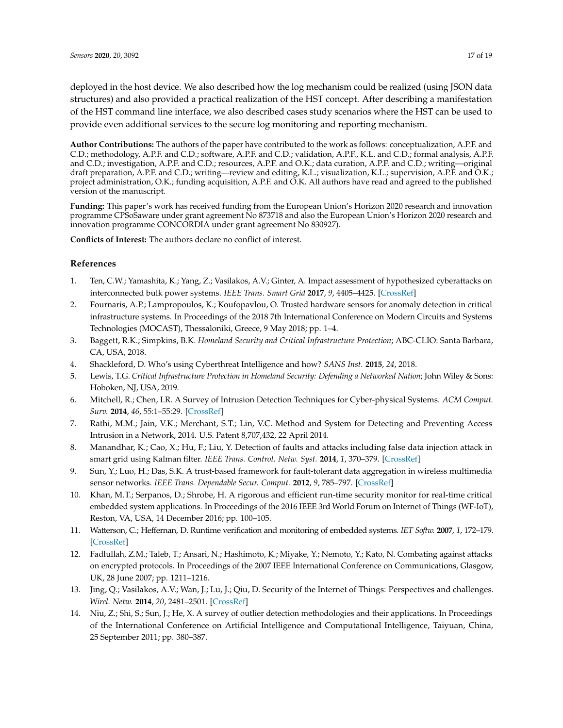deployed in the host device. We also described how the log mechanism could be realized (using JSON data structures) and also provided a practical realization of the HST concept. After describing a manifestation of the HST command line interface, we also described cases study scenarios where the HST can be used to provide even additional services to the secure log monitoring and reporting mechanism.

**Author Contributions:** The authors of the paper have contributed to the work as follows: conceptualization, A.P.F. and C.D.; methodology, A.P.F. and C.D.; software, A.P.F. and C.D.; validation, A.P.F., K.L. and C.D.; formal analysis, A.P.F. and C.D.; investigation, A.P.F. and C.D.; resources, A.P.F. and O.K.; data curation, A.P.F. and C.D.; writing—original draft preparation, A.P.F. and C.D.; writing—review and editing, K.L.; visualization, K.L.; supervision, A.P.F. and O.K.; project administration, O.K.; funding acquisition, A.P.F. and O.K. All authors have read and agreed to the published version of the manuscript.

**Funding:** This paper's work has received funding from the European Union's Horizon 2020 research and innovation programme CPSoSaware under grant agreement No 873718 and also the European Union's Horizon 2020 research and innovation programme CONCORDIA under grant agreement No 830927).

**Conflicts of Interest:** The authors declare no conflict of interest.

# **References**

- <span id="page-16-0"></span>1. Ten, C.W.; Yamashita, K.; Yang, Z.; Vasilakos, A.V.; Ginter, A. Impact assessment of hypothesized cyberattacks on interconnected bulk power systems. *IEEE Trans. Smart Grid* **2017**, *9*, 4405–4425. [\[CrossRef\]](http://dx.doi.org/10.1109/TSG.2017.2656068)
- <span id="page-16-1"></span>2. Fournaris, A.P.; Lampropoulos, K.; Koufopavlou, O. Trusted hardware sensors for anomaly detection in critical infrastructure systems. In Proceedings of the 2018 7th International Conference on Modern Circuits and Systems Technologies (MOCAST), Thessaloniki, Greece, 9 May 2018; pp. 1–4.
- <span id="page-16-2"></span>3. Baggett, R.K.; Simpkins, B.K. *Homeland Security and Critical Infrastructure Protection*; ABC-CLIO: Santa Barbara, CA, USA, 2018.
- <span id="page-16-3"></span>4. Shackleford, D. Who's using Cyberthreat Intelligence and how? *SANS Inst.* **2015**, *24*, 2018.
- <span id="page-16-4"></span>5. Lewis, T.G. *Critical Infrastructure Protection in Homeland Security: Defending a Networked Nation*; John Wiley & Sons: Hoboken, NJ, USA, 2019.
- <span id="page-16-5"></span>6. Mitchell, R.; Chen, I.R. A Survey of Intrusion Detection Techniques for Cyber-physical Systems. *ACM Comput. Surv.* **2014**, *46*, 55:1–55:29. [\[CrossRef\]](http://dx.doi.org/10.1145/2542049)
- <span id="page-16-6"></span>7. Rathi, M.M.; Jain, V.K.; Merchant, S.T.; Lin, V.C. Method and System for Detecting and Preventing Access Intrusion in a Network, 2014. U.S. Patent 8,707,432, 22 April 2014.
- <span id="page-16-7"></span>8. Manandhar, K.; Cao, X.; Hu, F.; Liu, Y. Detection of faults and attacks including false data injection attack in smart grid using Kalman filter. *IEEE Trans. Control. Netw. Syst.* **2014**, *1*, 370–379. [\[CrossRef\]](http://dx.doi.org/10.1109/TCNS.2014.2357531)
- <span id="page-16-8"></span>9. Sun, Y.; Luo, H.; Das, S.K. A trust-based framework for fault-tolerant data aggregation in wireless multimedia sensor networks. *IEEE Trans. Dependable Secur. Comput.* **2012**, *9*, 785–797. [\[CrossRef\]](http://dx.doi.org/10.1109/TDSC.2012.68)
- <span id="page-16-9"></span>10. Khan, M.T.; Serpanos, D.; Shrobe, H. A rigorous and efficient run-time security monitor for real-time critical embedded system applications. In Proceedings of the 2016 IEEE 3rd World Forum on Internet of Things (WF-IoT), Reston, VA, USA, 14 December 2016; pp. 100–105.
- 11. Watterson, C.; Heffernan, D. Runtime verification and monitoring of embedded systems. *IET Softw.* **2007**, *1*, 172–179. [\[CrossRef\]](http://dx.doi.org/10.1049/iet-sen:20060076)
- 12. Fadlullah, Z.M.; Taleb, T.; Ansari, N.; Hashimoto, K.; Miyake, Y.; Nemoto, Y.; Kato, N. Combating against attacks on encrypted protocols. In Proceedings of the 2007 IEEE International Conference on Communications, Glasgow, UK, 28 June 2007; pp. 1211–1216.
- <span id="page-16-10"></span>13. Jing, Q.; Vasilakos, A.V.; Wan, J.; Lu, J.; Qiu, D. Security of the Internet of Things: Perspectives and challenges. *Wirel. Netw.* **2014**, *20*, 2481–2501. [\[CrossRef\]](http://dx.doi.org/10.1007/s11276-014-0761-7)
- <span id="page-16-11"></span>14. Niu, Z.; Shi, S.; Sun, J.; He, X. A survey of outlier detection methodologies and their applications. In Proceedings of the International Conference on Artificial Intelligence and Computational Intelligence, Taiyuan, China, 25 September 2011; pp. 380–387.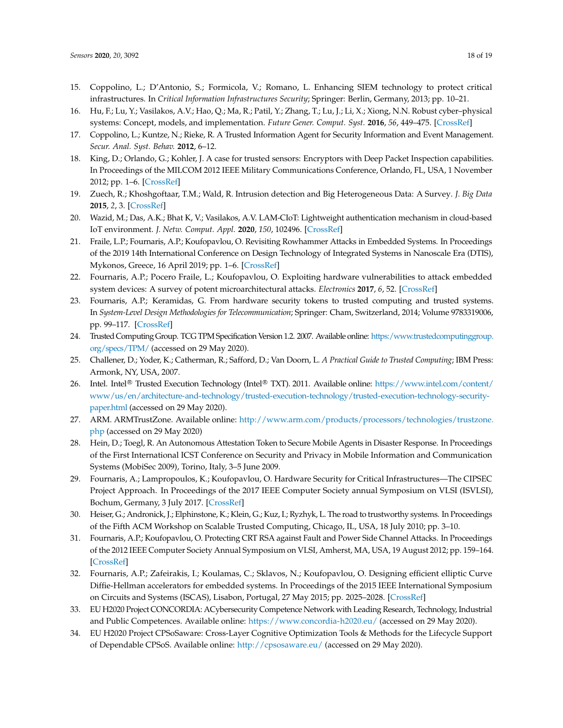- <span id="page-17-0"></span>15. Coppolino, L.; D'Antonio, S.; Formicola, V.; Romano, L. Enhancing SIEM technology to protect critical infrastructures. In *Critical Information Infrastructures Security*; Springer: Berlin, Germany, 2013; pp. 10–21.
- <span id="page-17-1"></span>16. Hu, F.; Lu, Y.; Vasilakos, A.V.; Hao, Q.; Ma, R.; Patil, Y.; Zhang, T.; Lu, J.; Li, X.; Xiong, N.N. Robust cyber–physical systems: Concept, models, and implementation. *Future Gener. Comput. Syst.* **2016**, *56*, 449–475. [\[CrossRef\]](http://dx.doi.org/10.1016/j.future.2015.06.006)
- <span id="page-17-2"></span>17. Coppolino, L.; Kuntze, N.; Rieke, R. A Trusted Information Agent for Security Information and Event Management. *Secur. Anal. Syst. Behav.* **2012**, 6–12.
- <span id="page-17-4"></span>18. King, D.; Orlando, G.; Kohler, J. A case for trusted sensors: Encryptors with Deep Packet Inspection capabilities. In Proceedings of the MILCOM 2012 IEEE Military Communications Conference, Orlando, FL, USA, 1 November 2012; pp. 1–6. [\[CrossRef\]](http://dx.doi.org/10.1109/MILCOM.2012.6415703)
- <span id="page-17-3"></span>19. Zuech, R.; Khoshgoftaar, T.M.; Wald, R. Intrusion detection and Big Heterogeneous Data: A Survey. *J. Big Data* **2015**, *2*, 3. [\[CrossRef\]](http://dx.doi.org/10.1186/s40537-015-0013-4)
- <span id="page-17-5"></span>20. Wazid, M.; Das, A.K.; Bhat K, V.; Vasilakos, A.V. LAM-CIoT: Lightweight authentication mechanism in cloud-based IoT environment. *J. Netw. Comput. Appl.* **2020**, *150*, 102496. [\[CrossRef\]](http://dx.doi.org/10.1016/j.jnca.2019.102496)
- <span id="page-17-6"></span>21. Fraile, L.P.; Fournaris, A.P.; Koufopavlou, O. Revisiting Rowhammer Attacks in Embedded Systems. In Proceedings of the 2019 14th International Conference on Design Technology of Integrated Systems in Nanoscale Era (DTIS), Mykonos, Greece, 16 April 2019; pp. 1–6. [\[CrossRef\]](http://dx.doi.org/10.1109/DTIS.2019.8734936)
- <span id="page-17-7"></span>22. Fournaris, A.P.; Pocero Fraile, L.; Koufopavlou, O. Exploiting hardware vulnerabilities to attack embedded system devices: A survey of potent microarchitectural attacks. *Electronics* **2017**, *6*, 52. [\[CrossRef\]](http://dx.doi.org/10.3390/electronics6030052)
- <span id="page-17-8"></span>23. Fournaris, A.P.; Keramidas, G. From hardware security tokens to trusted computing and trusted systems. In *System-Level Design Methodologies for Telecommunication*; Springer: Cham, Switzerland, 2014; Volume 9783319006, pp. 99–117. [\[CrossRef\]](http://dx.doi.org/10.1007/978-3-319-00663-5-6)
- <span id="page-17-9"></span>24. Trusted Computing Group. TCG TPM Specification Version 1.2. 2007. Available online: [https:/www.trustedcomputinggroup.](https:/www.trustedcomputinggroup.org/specs/TPM/) [org/specs/TPM/](https:/www.trustedcomputinggroup.org/specs/TPM/) (accessed on 29 May 2020).
- <span id="page-17-10"></span>25. Challener, D.; Yoder, K.; Catherman, R.; Safford, D.; Van Doorn, L. *A Practical Guide to Trusted Computing*; IBM Press: Armonk, NY, USA, 2007.
- <span id="page-17-11"></span>26. Intel. Intel<sup>®</sup> Trusted Execution Technology (Intel® TXT). 2011. Available online: [https://www.intel.com/content/](https://www.intel.com/content/www/us/en/architecture-and-technology/trusted-execution-technology/trusted-execution-technology-security-paper.html) [www/us/en/architecture-and-technology/trusted-execution-technology/trusted-execution-technology-security](https://www.intel.com/content/www/us/en/architecture-and-technology/trusted-execution-technology/trusted-execution-technology-security-paper.html)[paper.html](https://www.intel.com/content/www/us/en/architecture-and-technology/trusted-execution-technology/trusted-execution-technology-security-paper.html) (accessed on 29 May 2020).
- <span id="page-17-12"></span>27. ARM. ARMTrustZone. Available online: [http://www.arm.com/products/processors/technologies/trustzone.](http://www.arm.com/products/processors/technologies/trustzone.php) [php](http://www.arm.com/products/processors/technologies/trustzone.php) (accessed on 29 May 2020)
- <span id="page-17-13"></span>28. Hein, D.; Toegl, R. An Autonomous Attestation Token to Secure Mobile Agents in Disaster Response. In Proceedings of the First International ICST Conference on Security and Privacy in Mobile Information and Communication Systems (MobiSec 2009), Torino, Italy, 3–5 June 2009.
- <span id="page-17-15"></span>29. Fournaris, A.; Lampropoulos, K.; Koufopavlou, O. Hardware Security for Critical Infrastructures—The CIPSEC Project Approach. In Proceedings of the 2017 IEEE Computer Society annual Symposium on VLSI (ISVLSI), Bochum, Germany, 3 July 2017. [\[CrossRef\]](http://dx.doi.org/10.1109/ISVLSI.2017.69)
- <span id="page-17-14"></span>30. Heiser, G.; Andronick, J.; Elphinstone, K.; Klein, G.; Kuz, I.; Ryzhyk, L. The road to trustworthy systems. In Proceedings of the Fifth ACM Workshop on Scalable Trusted Computing, Chicago, IL, USA, 18 July 2010; pp. 3–10.
- <span id="page-17-16"></span>31. Fournaris, A.P.; Koufopavlou, O. Protecting CRT RSA against Fault and Power Side Channel Attacks. In Proceedings of the 2012 IEEE Computer Society Annual Symposium on VLSI, Amherst, MA, USA, 19 August 2012; pp. 159–164. [\[CrossRef\]](http://dx.doi.org/10.1109/ISVLSI.2012.54)
- <span id="page-17-17"></span>32. Fournaris, A.P.; Zafeirakis, I.; Koulamas, C.; Sklavos, N.; Koufopavlou, O. Designing efficient elliptic Curve Diffie-Hellman accelerators for embedded systems. In Proceedings of the 2015 IEEE International Symposium on Circuits and Systems (ISCAS), Lisabon, Portugal, 27 May 2015; pp. 2025–2028. [\[CrossRef\]](http://dx.doi.org/10.1109/ISCAS.2015.7169074)
- <span id="page-17-18"></span>33. EU H2020 Project CONCORDIA: ACybersecurity Competence Network with Leading Research, Technology, Industrial and Public Competences. Available online: <https://www.concordia-h2020.eu/> (accessed on 29 May 2020).
- <span id="page-17-19"></span>34. EU H2020 Project CPSoSaware: Cross-Layer Cognitive Optimization Tools & Methods for the Lifecycle Support of Dependable CPSoS. Available online: <http://cpsosaware.eu/> (accessed on 29 May 2020).